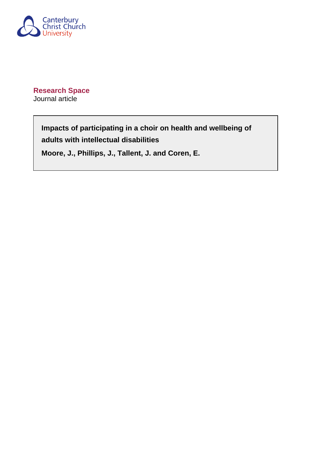

**Research Space** Journal article

> **Impacts of participating in a choir on health and wellbeing of adults with intellectual disabilities**

**Moore, J., Phillips, J., Tallent, J. and Coren, E.**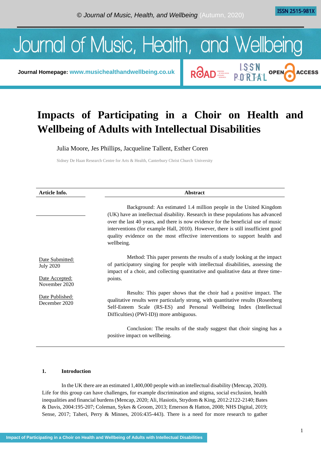**ISSN 2515-981X** 

**ACCESS** 

ROAD E LSSN OPEN



**Journal Homepage: [www.musichealthandwellbeing.co.uk](http://www.musichealthandwellbeing.co.uk/)**

# **Impacts of Participating in a Choir on Health and Wellbeing of Adults with Intellectual Disabilities**

Julia Moore, Jes Phillips, Jacqueline Tallent, Esther Coren

Sidney De Haan Research Centre for Arts & Health, Canterbury Christ Church University

| Article Info.                                                          | Abstract                                                                                                                                                                                                                                                                                                                                                                                                                    |
|------------------------------------------------------------------------|-----------------------------------------------------------------------------------------------------------------------------------------------------------------------------------------------------------------------------------------------------------------------------------------------------------------------------------------------------------------------------------------------------------------------------|
|                                                                        | Background: An estimated 1.4 million people in the United Kingdom<br>(UK) have an intellectual disability. Research in these populations has advanced<br>over the last 40 years, and there is now evidence for the beneficial use of music<br>interventions (for example Hall, 2010). However, there is still insufficient good<br>quality evidence on the most effective interventions to support health and<br>wellbeing. |
| Date Submitted:<br><b>July 2020</b><br>Date Accepted:<br>November 2020 | Method: This paper presents the results of a study looking at the impact<br>of participatory singing for people with intellectual disabilities, assessing the<br>impact of a choir, and collecting quantitative and qualitative data at three time-<br>points.                                                                                                                                                              |
| Date Published:<br>December 2020                                       | Results: This paper shows that the choir had a positive impact. The<br>qualitative results were particularly strong, with quantitative results (Rosenberg)<br>Self-Esteem Scale (RS-ES) and Personal Wellbeing Index (Intellectual<br>Difficulties) (PWI-ID)) more ambiguous.                                                                                                                                               |
|                                                                        | Conclusion: The results of the study suggest that choir singing has a<br>positive impact on wellbeing.                                                                                                                                                                                                                                                                                                                      |

## **1. Introduction**

In the UK there are an estimated 1,400,000 people with an intellectual disability (Mencap, 2020). Life for this group can have challenges, for example discrimination and stigma, social exclusion, health inequalities and financial burdens (Mencap, 2020; Ali, Hasiotis, Strydom & King, 2012:2122-2140; Bates & Davis, 2004:195-207; Coleman, Sykes & Groom, 2013; Emerson & Hatton, 2008; NHS Digital, 2019; Sense, 2017; Taheri, Perry & Minnes, 2016:435-443). There is a need for more research to gather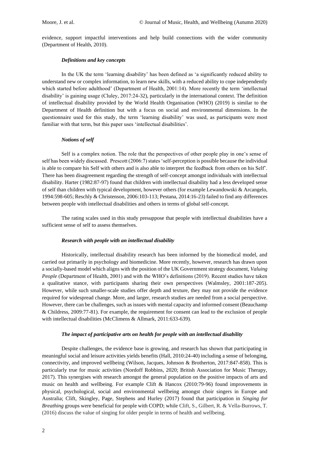evidence, support impactful interventions and help build connections with the wider community (Department of Health, 2010).

#### *Definitions and key concepts*

In the UK the term 'learning disability' has been defined as 'a significantly reduced ability to understand new or complex information, to learn new skills, with a reduced ability to cope independently which started before adulthood' (Department of Health, 2001:14). More recently the term 'intellectual disability' is gaining usage (Cluley, 2017:24-32), particularly in the international context. The definition of intellectual disability provided by the World Health Organisation (WHO) (2019) is similar to the Department of Health definition but with a focus on social and environmental dimensions. In the questionnaire used for this study, the term 'learning disability' was used, as participants were most familiar with that term, but this paper uses 'intellectual disabilities'.

## *Notions of self*

Self is a complex notion. The role that the perspectives of other people play in one's sense of self has been widely discussed. Prescott (2006:7) states 'self-perception is possible because the individual is able to compare his Self with others and is also able to interpret the feedback from others on his Self'. There has been disagreement regarding the strength of self-concept amongst individuals with intellectual disability. Harter (1982:87-97) found that children with intellectual disability had a less developed sense of self than children with typical development, however others (for example Lewandowski & Arcangelo, 1994:598-605; Reschly & Christenson, 2006:103-113; Pestana, 2014:16-23) failed to find any differences between people with intellectual disabilities and others in terms of global self-concept.

The rating scales used in this study presuppose that people with intellectual disabilities have a sufficient sense of self to assess themselves.

#### *Research with people with an intellectual disability*

Historically, intellectual disability research has been informed by the biomedical model, and carried out primarily in psychology and biomedicine. More recently, however, research has drawn upon a socially-based model which aligns with the position of the UK Government strategy document, *Valuing People* (Department of Health, 2001) and with the WHO's definitions (2019). Recent studies have taken a qualitative stance, with participants sharing their own perspectives (Walmsley, 2001:187-205). However, while such smaller-scale studies offer depth and texture, they may not provide the evidence required for widespread change. More, and larger, research studies are needed from a social perspective. However, there can be challenges, such as issues with mental capacity and informed consent (Beauchamp & Childress, 2009:77-81). For example, the requirement for consent can lead to the exclusion of people with intellectual disabilities (McClimens & Allmark, 2011:633-639).

#### *The impact of participative arts on health for people with an intellectual disability*

Despite challenges, the evidence base is growing, and research has shown that participating in meaningful social and leisure activities yields benefits (Hall, 2010:24-40) including a sense of belonging, connectivity, and improved wellbeing (Wilson, Jacques, Johnson & Brotherton, 2017:847-858). This is particularly true for music activities (Nordoff Robbins, 2020; British Association for Music Therapy, 2017). This synergises with research amongst the general population on the positive impacts of arts and music on health and wellbeing. For example Clift & Hancox (2010:79-96) found improvements in physical, psychological, social and environmental wellbeing amongst choir singers in Europe and Australia; Clift, Skingley, Page, Stephens and Hurley (2017) found that participation in *Singing for Breathing* groups were beneficial for people with COPD; while Clift, S., Gilbert, R. & Vella-Burrows, T. (2016) discuss the value of singing for older people in terms of health and wellbeing.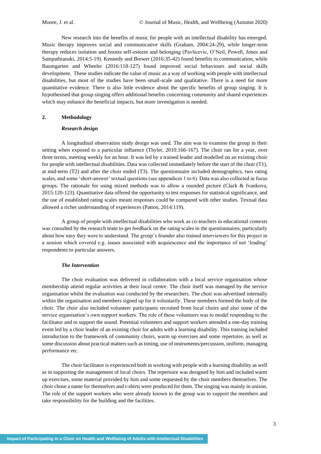New research into the benefits of music for people with an intellectual disability has emerged. Music therapy improves social and communicative skills (Graham, 2004:24-29), while longer-term therapy reduces isolation and boosts self-esteem and belonging (Pavlicevic, O'Neil, Powell, Jones and Sampathianaki, 2014:5-19). Kennedy and Brewer (2016:35-42) found benefits to communication, while Baumgarten and Wheeler (2016:118-127) found improved social behaviours and social skills development. These studies indicate the value of music as a way of working with people with intellectual disabilities, but most of the studies have been small-scale and qualitative. There is a need for more quantitative evidence. There is also little evidence about the specific benefits of group singing. It is hypothesised that group singing offers additional benefits concerning community and shared experiences which may enhance the beneficial impacts, but more investigation is needed.

### **2. Methodology**

#### *Research design*

A longitudinal observation study design was used. The aim was to examine the group in their setting when exposed to a particular influence (Thyler, 2010:166-167). The choir ran for a year, over three terms, meeting weekly for an hour. It was led by a trained leader and modelled on an existing choir for people with intellectual disabilities. Data was collected immediately before the start of the choir (T1), at mid-term (T2) and after the choir ended (T3). The questionnaire included demographics, two rating scales, and some 'short-answer' textual questions (see appendices 1 to 6). Data was also collected in focus groups. The rationale for using mixed methods was to allow a rounded picture (Clark & Ivankova, 2015:120-123). Quantitative data offered the opportunity to test responses for statistical significance, and the use of established rating scales meant responses could be compared with other studies. Textual data allowed a richer understanding of experiences (Patton, 2014:119).

A group of people with intellectual disabilities who work as co-teachers in educational contexts was consulted by the research team to get feedback on the rating scales in the questionnaires, particularly about how easy they were to understand. The group's founder also trained interviewers for this project in a session which covered e.g. issues associated with acquiescence and the importance of not 'leading' respondents to particular answers.

#### *The Intervention*

The choir evaluation was delivered in collaboration with a local service organisation whose membership attend regular activities at their local centre. The choir itself was managed by the service organisation whilst the evaluation was conducted by the researchers. The choir was advertised internally within the organisation and members signed up for it voluntarily. These members formed the body of the choir. The choir also included volunteer participants recruited from local choirs and also some of the service organisation's own support workers. The role of these volunteers was to model responding to the facilitator and to support the sound. Potential volunteers and support workers attended a one-day training event led by a choir leader of an existing choir for adults with a learning disability. This training included introduction to the framework of community choirs, warm up exercises and some repertoire, as well as some discussion about practical matters such as timing, use of instruments/percussion, uniform, managing performance etc.

The choir facilitator is experienced both in working with people with a learning disability as well as in supporting the management of local choirs. The repertoire was designed by him and included warm up exercises, some material provided by him and some requested by the choir members themselves. The choir chose a name for themselves and t-shirts were produced for them. The singing was mainly in unison. The role of the support workers who were already known to the group was to support the members and take responsibility for the building and the facilities.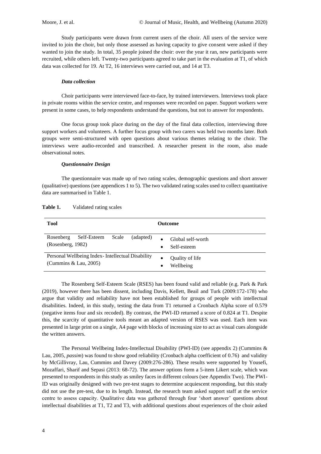Study participants were drawn from current users of the choir. All users of the service were invited to join the choir, but only those assessed as having capacity to give consent were asked if they wanted to join the study. In total, 35 people joined the choir: over the year it ran, new participants were recruited, while others left. Twenty-two participants agreed to take part in the evaluation at T1, of which data was collected for 19. At T2, 16 interviews were carried out, and 14 at T3.

## *Data collection*

Choir participants were interviewed face-to-face, by trained interviewers. Interviews took place in private rooms within the service centre, and responses were recorded on paper. Support workers were present in some cases, to help respondents understand the questions, but not to answer for respondents.

One focus group took place during on the day of the final data collection, interviewing three support workers and volunteers. A further focus group with two carers was held two months later. Both groups were semi-structured with open questions about various themes relating to the choir. The interviews were audio-recorded and transcribed. A researcher present in the room, also made observational notes.

#### *Questionnaire Design*

The questionnaire was made up of two rating scales, demographic questions and short answer (qualitative) questions (see appendices 1 to 5). The two validated rating scales used to collect quantitative data are summarised in Table 1.

| Tool                                                                        | <b>Outcome</b>                            |
|-----------------------------------------------------------------------------|-------------------------------------------|
| Scale<br>Rosenberg<br>Self-Esteem<br>(adapted)<br>(Rosenberg, 1982)         | Global self-worth<br>Self-esteem<br>٠     |
| Personal Wellbeing Index - Intellectual Disability<br>(Cummins & Lau, 2005) | Quality of life<br>Wellbeing<br>$\bullet$ |

Table 1. Validated rating scales

The Rosenberg Self-Esteem Scale (RSES) has been found valid and reliable (e.g. Park & Park (2019), however there has been dissent, including Davis, Kellett, Beail and Turk (2009:172-178) who argue that validity and reliability have not been established for groups of people with intellectual disabilities. Indeed, in this study, testing the data from T1 returned a Cronbach Alpha score of 0.579 (negative items four and six recoded). By contrast, the PWI-ID returned a score of 0.824 at T1. Despite this, the scarcity of quantitative tools meant an adapted version of RSES was used. Each item was presented in large print on a single, A4 page with blocks of increasing size to act as visual cues alongside the written answers.

The Personal Wellbeing Index-Intellectual Disability (PWI-ID) (see appendix 2) (Cummins & Lau, 2005, *passim*) was found to show good reliability (Cronbach alpha coefficient of 0.76) and validity by McGillivray, Lau, Cummins and Davey (2009:276-286). These results were supported by Yousefi, Mozaffari, Sharif and Sepasi (2013: 68-72). The answer options form a 5-item Likert scale, which was presented to respondents in this study as smiley faces in different colours (see Appendix Two). The PWI-ID was originally designed with two pre-test stages to determine acquiescent responding, but this study did not use the pre-test, due to its length. Instead, the research team asked support staff at the service centre to assess capacity. Qualitative data was gathered through four 'short answer' questions about intellectual disabilities at T1, T2 and T3, with additional questions about experiences of the choir asked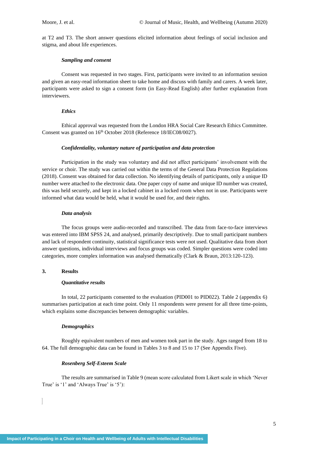at T2 and T3. The short answer questions elicited information about feelings of social inclusion and stigma, and about life experiences.

#### *Sampling and consent*

Consent was requested in two stages. First, participants were invited to an information session and given an easy-read information sheet to take home and discuss with family and carers. A week later, participants were asked to sign a consent form (in Easy-Read English) after further explanation from interviewers.

#### *Ethics*

Ethical approval was requested from the London HRA Social Care Research Ethics Committee. Consent was granted on  $16<sup>th</sup>$  October 2018 (Reference 18/IEC08/0027).

#### *Confidentiality, voluntary nature of participation and data protection*

Participation in the study was voluntary and did not affect participants' involvement with the service or choir. The study was carried out within the terms of the General Data Protection Regulations (2018). Consent was obtained for data collection. No identifying details of participants, only a unique ID number were attached to the electronic data. One paper copy of name and unique ID number was created, this was held securely, and kept in a locked cabinet in a locked room when not in use. Participants were informed what data would be held, what it would be used for, and their rights.

## *Data analysis*

The focus groups were audio-recorded and transcribed. The data from face-to-face interviews was entered into IBM SPSS 24, and analysed, primarily descriptively. Due to small participant numbers and lack of respondent continuity, statistical significance tests were not used. Qualitative data from short answer questions, individual interviews and focus groups was coded. Simpler questions were coded into categories, more complex information was analysed thematically (Clark & Braun, 2013:120-123).

## **3. Results**

#### *Quantitative results*

In total, 22 participants consented to the evaluation (PID001 to PID022). Table 2 (appendix 6) summarises participation at each time point. Only 11 respondents were present for all three time-points, which explains some discrepancies between demographic variables.

#### *Demographics*

Roughly equivalent numbers of men and women took part in the study. Ages ranged from 18 to 64. The full demographic data can be found in Tables 3 to 8 and 15 to 17 (See Appendix Five).

## *Rosenberg Self-Esteem Scale*

The results are summarised in Table 9 (mean score calculated from Likert scale in which 'Never True' is '1' and 'Always True' is '5'):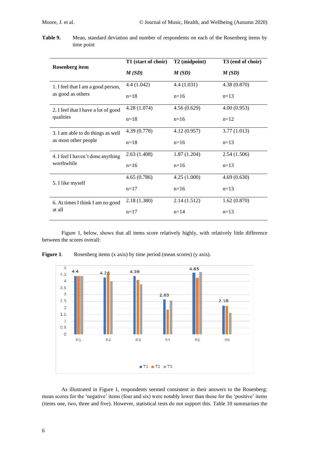**Table 9.** Mean, standard deviation and number of respondents on each of the Rosenberg items by time point

|                                     | T1 (start of choir) | T <sub>2</sub> (midpoint) | T3 (end of choir) |
|-------------------------------------|---------------------|---------------------------|-------------------|
| <b>Rosenberg</b> item               | M(SD)               | M(SD)                     | M(SD)             |
| 1. I feel that I am a good person,  | 4.4 (1.042)         | 4.4(1.031)                | 4.38 (0.870)      |
| as good as others                   | $n=18$              | $n=16$                    | $n=13$            |
| 2. I feel that I have a lot of good | 4.28(1.074)         | 4.56(0.629)               | 4.00(0.953)       |
| qualities                           | $n=18$              | $n=16$                    | $n=12$            |
| 3. I am able to do things as well   | 4.39 (0.778)        | 4.12(0.957)               | 3.77(1.013)       |
| as most other people                | $n=18$              | $n=16$                    | $n=13$            |
| 4. I feel I haven't done anything   | 2.63(1.408)         | 1.87(1.204)               | 2.54(1.506)       |
| worthwhile                          | $n=16$              | $n=16$                    | $n=13$            |
| 5. I like myself                    | 4.65(0.786)         | 4.25(1.000)               | 4.69(0.630)       |
|                                     | $n=17$              | $n=16$                    | $n=13$            |
| 6. At times I think I am no good    | 2.18 (1.380)        | 2.14(1.512)               | 1.62(0.870)       |
| at all                              | $n=17$              | $n=14$                    | $n=13$            |

Figure 1, below, shows that all items score relatively highly, with relatively little difference between the scores overall:



**Figure 1.** Rosenberg items (x axis) by time period (mean scores) (y axis).

As illustrated in Figure 1, respondents seemed consistent in their answers to the Rosenberg: mean scores for the 'negative' items (four and six) were notably lower than those for the 'positive' items (items one, two, three and five). However, statistical tests do not support this. Table 10 summarises the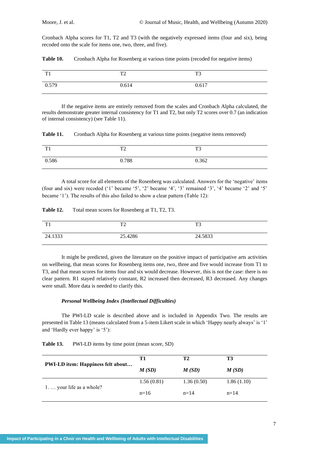Cronbach Alpha scores for T1, T2 and T3 (with the negatively expressed items (four and six), being recoded onto the scale for items one, two, three, and five).

| Table 10. |  |  |  |  | Cronbach Alpha for Rosenberg at various time points (recoded for negative items) |
|-----------|--|--|--|--|----------------------------------------------------------------------------------|
|-----------|--|--|--|--|----------------------------------------------------------------------------------|

| TT1   | $T^{\prime}$<br>. . | T3    |
|-------|---------------------|-------|
| 0.579 | 0.614               | 0.617 |

If the negative items are entirely removed from the scales and Cronbach Alpha calculated, the results demonstrate greater internal consistency for T1 and T2, but only T2 scores over 0.7 (an indication of internal consistency) (see Table 11).

**Table 11.** Cronbach Alpha for Rosenberg at various time points (negative items removed)

| $T^*$ | $T^{\wedge}$ | T <sub>3</sub> |
|-------|--------------|----------------|
| 0.586 | 0.788        | 0.362          |

A total score for all elements of the Rosenberg was calculated. Answers for the 'negative' items (four and six) were recoded ('1' became '5', '2' became '4', '3' remained '3', '4' became '2' and '5' became '1'). The results of this also failed to show a clear pattern (Table 12):

**Table 12.** Total mean scores for Rosenberg at T1, T2, T3.

| TT1     | $T^{\wedge}$ | T <sub>3</sub> |
|---------|--------------|----------------|
| 24.1333 | 25.4286      | 24.5833        |

It might be predicted, given the literature on the positive impact of participative arts activities on wellbeing, that mean scores for Rosenberg items one, two, three and five would increase from T1 to T3, and that mean scores for items four and six would decrease. However, this is not the case: there is no clear pattern. R1 stayed relatively constant, R2 increased then decreased, R3 decreased. Any changes were small. More data is needed to clarify this.

#### *Personal Wellbeing Index (Intellectual Difficulties)*

The PWI-LD scale is described above and is included in Appendix Two. The results are presented in Table 13 (means calculated from a 5-item Likert scale in which 'Happy nearly always' is '1' and 'Hardly ever happy' is '5'):

| Table 13. |  |  |  | PWI-LD items by time point (mean score, SD) |
|-----------|--|--|--|---------------------------------------------|
|-----------|--|--|--|---------------------------------------------|

|                                          | Т1         | T2             | T3         |
|------------------------------------------|------------|----------------|------------|
| <b>PWI-LD</b> item: Happiness felt about | M(SD)      | M(SD)<br>M(SD) |            |
| 1. $\ldots$ your life as a whole?        | 1.56(0.81) | 1.36(0.50)     | 1.86(1.10) |
|                                          | $n=16$     | $n = 14$       | $n = 14$   |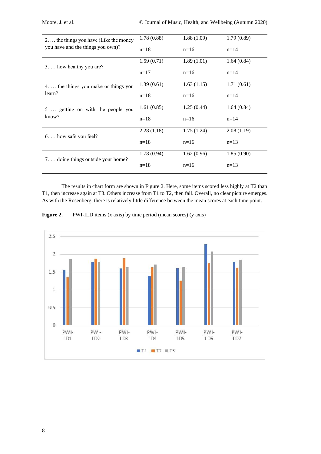| 2.  the things you have (Like the money | 1.78(0.88) | 1.88(1.09) | 1.79(0.89) |
|-----------------------------------------|------------|------------|------------|
| you have and the things you own)?       | $n=18$     | $n=16$     | $n=14$     |
| 3.  how healthy you are?                | 1.59(0.71) | 1.89(1.01) | 1.64(0.84) |
|                                         | $n=17$     | $n=16$     | $n=14$     |
| 4.  the things you make or things you   | 1.39(0.61) | 1.63(1.15) | 1.71(0.61) |
| learn?                                  | $n=18$     | $n=16$     | $n=14$     |
| 5  getting on with the people you       | 1.61(0.85) | 1.25(0.44) | 1.64(0.84) |
| know?                                   | $n=18$     | $n=16$     | $n=14$     |
| 6.  how safe you feel?                  | 2.28(1.18) | 1.75(1.24) | 2.08(1.19) |
|                                         | $n=18$     | $n=16$     | $n=13$     |
| 7.  doing things outside your home?     | 1.78(0.94) | 1.62(0.96) | 1.85(0.90) |
|                                         | $n=18$     | $n=16$     | $n=13$     |

The results in chart form are shown in Figure 2. Here, some items scored less highly at T2 than T1, then increase again at T3. Others increase from T1 to T2, then fall. Overall, no clear picture emerges. As with the Rosenberg, there is relatively little difference between the mean scores at each time point.



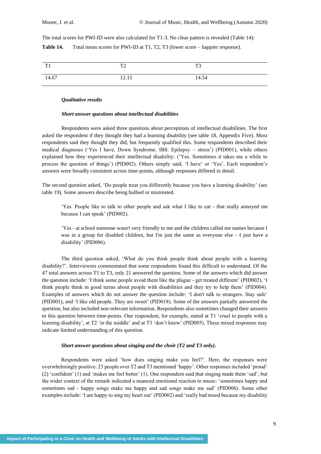The total scores for PWI-ID were also calculated for T1-3. No clear pattern is revealed (Table 14): **Table 14.** Total mean scores for PWI-ID at T1, T2, T3 (lower score – happier response).

| TT1<br>$\mathbf{r}$ | $T^{\prime}$<br>$\overline{\phantom{0}}$ | T <sub>3</sub> |
|---------------------|------------------------------------------|----------------|
| 14.67               | 12.15                                    | 14.54          |

#### *Qualitative results*

## *Short answer questions about intellectual disabilities*

Respondents were asked three questions about perceptions of intellectual disabilities. The first asked the respondent if they thought they had a learning disability (see table 18, Appendix Five). Most respondents said they thought they did, but frequently qualified this. Some respondents described their medical diagnoses ('Yes I have, Down Syndrome. IBS. Epilepsy – stress') (PID001), while others explained how they experienced their intellectual disability: ('Yes. Sometimes it takes me a while to process the question of things') (PID002). Others simply said, 'I have' or 'Yes'. Each respondent's answers were broadly consistent across time-points, although responses differed in detail.

The second question asked, 'Do people treat you differently because you have a learning disability' (see table 19). Some answers describe being bullied or mistreated.

'Yes. People like to talk to other people and ask what I like to eat - that really annoyed me because I can speak' (PID002).

'Yes - at school someone wasn't very friendly to me and the children called me names because I was in a group for disabled children, but I'm just the same as everyone else - I just have a disability' (PID006).

The third question asked, 'What do you think people think about people with a learning disability?'. Interviewers commentated that some respondents found this difficult to understand. Of the 47 total answers across T1 to T3, only 21 answered the question. Some of the answers which did answer the question include: 'I think some people avoid them like the plague - get treated different' (PID002), 'I think people think in good terms about people with disabilities and they try to help them' (PID004). Examples of answers which do not answer the question include: 'I don't talk to strangers. Stay safe' (PID001), and 'I like old people. They are sweet' (PID018). Some of the answers partially answered the question, but also included non-relevant information. Respondents also sometimes changed their answers to this question between time-points. One respondent, for example, stated at T1 'cruel to people with a learning disability', at T2 'in the middle' and at T3 'don't know' (PID005). These mixed responses may indicate limited understanding of this question.

## *Short answer questions about singing and the choir (T2 and T3 only).*

Respondents were asked 'how does singing make you feel?'. Here, the responses were overwhelmingly positive: 23 people over T2 and T3 mentioned 'happy'. Other responses included 'proud' (2) 'confident' (1) and 'makes me feel better' (1). One respondent said that singing made them 'sad', but the wider context of the remark indicated a nuanced emotional reaction to music: 'sometimes happy and sometimes sad - happy songs make me happy and sad songs make me sad' (PID006). Some other examples include: 'I am happy to sing my heart out' (PID002) and 'really bad mood because my disability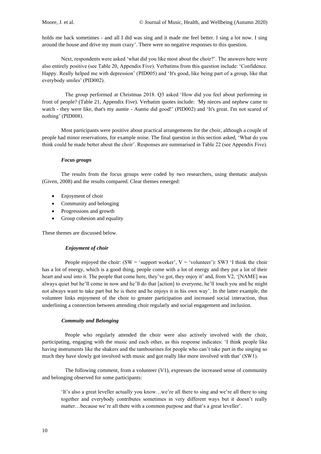holds me back sometimes - and all I did was sing and it made me feel better. I sing a lot now. I sing around the house and drive my mum crazy'. There were no negative responses to this question.

Next, respondents were asked 'what did you like most about the choir?'. The answers here were also entirely positive (see Table 20, Appendix Five). Verbatims from this question include: 'Confidence. Happy. Really helped me with depression' (PID005) and 'It's good, like being part of a group, like that everybody smiles' (PID002).

The group performed at Christmas 2018. Q3 asked 'How did you feel about performing in front of people? (Table 21, Appendix Five). Verbatim quotes include: *'*My nieces and nephew came to watch - they were like, that's my auntie - Auntie did good!' (PID002) and 'It's great. I'm not scared of nothing' (PID008).

Most participants were positive about practical arrangements for the choir, although a couple of people had minor reservations, for example noise. The final question in this section asked, 'What do you think could be made better about the choir'. Responses are summarised in Table 22 (see Appendix Five).

#### *Focus groups*

The results from the focus groups were coded by two researchers, using thematic analysis (Given, 2008) and the results compared. Clear themes emerged:

- Enjoyment of choir
- Community and belonging
- Progressions and growth
- Group cohesion and equality

These themes are discussed below.

## *Enjoyment of choir*

People enjoyed the choir: (SW = 'support worker',  $V =$  'volunteer'): SW3 'I think the choir has a lot of energy, which is a good thing, people come with a lot of energy and they put a lot of their heart and soul into it. The people that come here, they've got, they enjoy it' and, from V2, '[NAME] was always quiet but he'll come in now and he'll do that [action] to everyone, he'll touch you and he might not always want to take part but he is there and he enjoys it in his own way'. In the latter example, the volunteer links enjoyment of the choir to greater participation and increased social interaction, thus underlining a connection between attending choir regularly and social engagement and inclusion.

#### *Commuity and Belonging*

People who regularly attended the choir were also actively involved with the choir, participating, engaging with the music and each other, as this response indicates: 'I think people like having instruments like the shakers and the tambourines for people who can't take part in the singing so much they have slowly got involved with music and got really like more involved with that' (SW1).

The following comment, from a volunteer (V1), expresses the increased sense of community and belonging observed for some participants:

'It's also a great leveller actually you know…we're all there to sing and we're all there to sing together and everybody contributes sometimes in very different ways but it doesn't really matter…because we're all there with a common purpose and that's a great leveller'.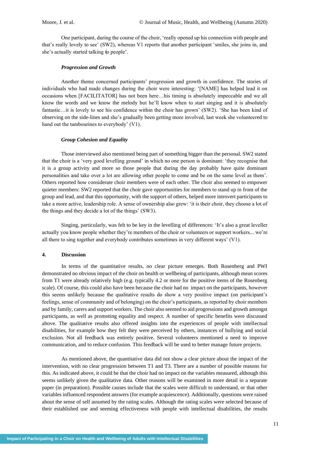One participant, during the course of the choir, 'really opened up his connection with people and that's really lovely to see' (SW2), whereas V1 reports that another participant 'smiles, she joins in, and she's actually started talking to people'.

#### *Progression and Growth*

Another theme concerned participants' progression and growth in confidence. The stories of individuals who had made changes during the choir were interesting: '[NAME] has helped lead it on occasions when [FACILITATOR] has not been here…his timing is absolutely impeccable and we all know the words and we know the melody but he'll know when to start singing and it is absolutely fantastic…it is lovely to see his confidence within the choir has grown' (SW2). 'She has been kind of observing on the side-lines and she's gradually been getting more involved, last week she volunteered to hand out the tambourines to everybody' (V1).

#### *Group Cohesion and Equality*

Those interviewed also mentioned being part of something bigger than the personal. SW2 stated that the choir is a 'very good levelling ground' in which no one person is dominant: 'they recognise that it is a group activity and more so those people that during the day probably have quite dominant personalities and take over a lot are allowing other people to come and be on the same level as them'. Others reported how considerate choir members were of each other. The choir also seemed to empower quieter members: SW2 reported that the choir gave opportunities for members to stand up in front of the group and lead, and that this opportunity, with the support of others, helped more introvert participants to take a more active, leadership role. A sense of ownership also grew: 'it is their choir, they choose a lot of the things and they decide a lot of the things' (SW3).

Singing, particularly, was felt to be key in the levelling of differences: 'It's also a great leveller actually you know people whether they're members of the choir or volunteers or support workers... we're all there to sing together and everybody contributes sometimes in very different ways' (V1).

## **4. Discussion**

In terms of the quantitative results, no clear picture emerges. Both Rosenberg and PWI demonstrated no obvious impact of the choir on health or wellbeing of participants, although mean scores from T1 were already relatively high (e.g. typically 4.2 or more for the positive items of the Rosenberg scale). Of course, this could also have been because the choir had no impact on the participants, however this seems unlikely because the qualitative results do show a very positive impact (on participant's feelings, sense of community and of belonging) on the choir's participants, as reported by choir members and by family, carers and support workers. The choir also seemed to aid progressions and growth amongst participants, as well as promoting equality and respect. A number of specific benefits were discussed above*.* The qualitative results also offered insights into the experiences of people with intellectual disabilities, for example how they felt they were perceived by others, instances of bullying and social exclusion. Not all feedback was entirely positive. Several volunteers mentioned a need to improve communication, and to reduce confusion. This feedback will be used to better manage future projects.

As mentioned above, the quantitative data did not show a clear picture about the impact of the intervention, with no clear progression between T1 and T3. There are a number of possible reasons for this. As indicated above, it could be that the choir had no impact on the variables measured, although this seems unlikely given the qualitative data. Other reasons will be examined in more detail in a separate paper (in preparation). Possible causes include that the scales were difficult to understand, or that other variables influenced respondent answers (for example acquiescence). Additionally, questions were raised about the sense of self assumed by the rating scales. Although the rating scales were selected because of their established use and seeming effectiveness with people with intellectual disabilities, the results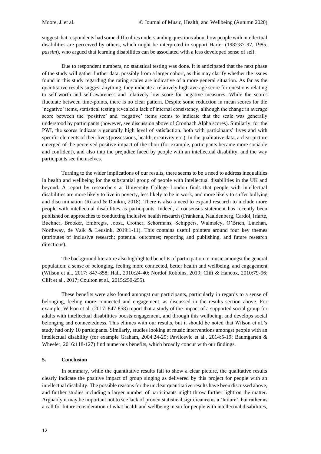suggest that respondents had some difficulties understanding questions about how people with intellectual disabilities are perceived by others, which might be interpreted to support Harter (1982:87-97, 1985, *passim*), who argued that learning disabilities can be associated with a less developed sense of self.

Due to respondent numbers, no statistical testing was done. It is anticipated that the next phase of the study will gather further data, possibly from a larger cohort, as this may clarify whether the issues found in this study regarding the rating scales are indicative of a more general situation. As far as the quantitative results suggest anything, they indicate a relatively high average score for questions relating to self-worth and self-awareness and relatively low score for negative measures. While the scores fluctuate between time-points, there is no clear pattern. Despite some reduction in mean scores for the 'negative' items, statistical testing revealed a lack of internal consistency, although the change in average score between the 'positive' and 'negative' items seems to indicate that the scale was generally understood by participants (however, see discussion above of Cronbach Alpha scores). Similarly, for the PWI, the scores indicate a generally high level of satisfaction, both with participants' lives and with specific elements of their lives (possessions, health, creativity etc.). In the qualitative data, a clear picture emerged of the perceived positive impact of the choir (for example, participants became more sociable and confident), and also into the prejudice faced by people with an intellectual disability, and the way participants see themselves.

Turning to the wider implications of our results, there seems to be a need to address inequalities in health and wellbeing for the substantial group of people with intellectual disabilities in the UK and beyond. A report by researchers at University College London finds that people with intellectual disabilities are more likely to live in poverty, less likely to be in work, and more likely to suffer bullying and discrimination (Rikard & Donkin, 2018). There is also a need to expand research to include more people with intellectual disabilities as participants. Indeed, a consensus statement has recently been published on approaches to conducting inclusive health research (Frankena, Naaldenberg, Cardol, Iriarte, Buchner, Brooker, Embregts, Joosa, Crother, Schormans, Schippers, Walmsley, O'Brien, Linehan, Northway, de Valk & Leusink, 2019:1-11). This contains useful pointers around four key themes (attributes of inclusive research; potential outcomes; reporting and publishing, and future research directions).

The background literature also highlighted benefits of participation in music amongst the general population: a sense of belonging, feeling more connected, better health and wellbeing, and engagement (Wilson et al., 2017: 847-858; Hall, 2010:24-40; Nordof Robbins, 2019; Clift & Hancox, 2010:79-96; Clift et al., 2017; Coulton et al., 2015:250-255).

These benefits were also found amongst our participants, particularly in regards to a sense of belonging, feeling more connected and engagement, as discussed in the results section above. For example, Wilson et al. (2017: 847-858) report that a study of the impact of a supported social group for adults with intellectual disabilities boosts engagement, and through this wellbeing, and develops social belonging and connectedness. This chimes with our results, but it should be noted that Wilson et al.'s study had only 10 participants. Similarly, studies looking at music interventions amongst people with an intellectual disability (for example Graham, 2004:24-29; Pavlicevic et al., 2014:5-19; Baumgarten & Wheeler, 2016:118-127) find numerous benefits, which broadly concur with our findings.

## **5. Conclusion**

In summary, while the quantitative results fail to show a clear picture, the qualitative results clearly indicate the positive impact of group singing as delivered by this project for people with an intellectual disability. The possible reasons for the unclear quantitative results have been discussed above, and further studies including a larger number of participants might throw further light on the matter. Arguably it may be important not to see lack of proven statistical significance as a 'failure', but rather as a call for future consideration of what health and wellbeing mean for people with intellectual disabilities,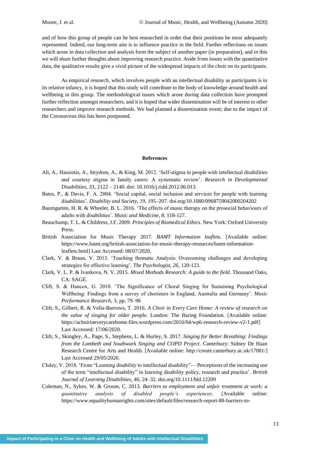and of how this group of people can be best researched in order that their positions be most adequately represented. Indeed, our long-term aim is to influence practice in the field. Further reflections on issues which arose in data collection and analysis form the subject of another paper (in preparation), and in this we will share further thoughts about improving research practice. Aside from issues with the quantitative data, the qualitative results give a vivid picture of the widespread impacts of the choir on its participants.

As empirical research, which involves people with an intellectual disability as participants is in its relative infancy, it is hoped that this study will contribute to the body of knowledge around health and wellbeing in this group. The methodological issues which arose during data collection have prompted further reflection amongst researchers, and it is hoped that wider dissemination will be of interest to other researchers and improve research methods. We had planned a dissemination event; due to the impact of the Coronavirus this has been postponed.

## **References**

- Ali, A., Hassiotis, A., Strydom, A., & King, M. 2012. 'Self-stigma in people with intellectual disabilities and courtesy stigma in family carers: A systematic review'. *Research in Developmental Disabilities*, *33*, 2122 – 2140. doi: 10.1016/j.ridd.2012.06.013.
- Bates, P., & Davis, F. A. 2004. 'Social capital, social inclusion and services for people with learning disabilities'. *Disability and Society*, *19*, 195–207. [doi.org/10.1080/0968759042000204202](https://doi.org/10.1080/0968759042000204202)
- Baumgarten, H. R. & Wheeler, B. L. 2016. 'The effects of music therapy on the prosocial behaviours of adults with disabilities'. *Music and Medicine*, *8*, 118-127.
- Beauchamp, T. L. & Childress, J.F. 2009. *Principles of Biomedical Ethics.* New York: Oxford University Press.
- British Association for Music Therapy 2017. *BAMT Information leaflets.* [Available online: [https://www.bamt.org/british-association-for-music-therapy-resources/bamt-information](https://www.bamt.org/british-association-for-music-therapy-resources/bamt-information-leaflets.html)[leaflets.html\]](https://www.bamt.org/british-association-for-music-therapy-resources/bamt-information-leaflets.html) Last Accessed: 08/07/2020.
- Clark, V. & Braun, V. 2013. 'Teaching thematic Analysis: Overcoming challenges and developing strategies for effective learning'. *The Psychologist, 26,* 120-123.
- Clark, V. L. P. & Ivankova, N. V. 2015. *Mixed Methods Research: A guide to the field.* Thousand Oaks, CA: SAGE.
- Clift, S. & Hancox, G. 2010. 'The Significance of Choral Singing for Sustaining Psychological Wellbeing: Findings from a survey of choristers in England, Australia and Germany'. *Music Performance Research,* 3, pp. 79–96
- Clift, S., Gilbert, R. & Vella-Burrows, T. 2016. *A Choir in Every Care Home: A review of research on the value of singing for older people.* London: The Baring Foundation. [Available online: [https://achoirineverycarehome.files.wordpress.com/2016/04/wp6-research-review-v2-1.pdf\]](https://achoirineverycarehome.files.wordpress.com/2016/04/wp6-research-review-v2-1.pdf) Last Accessed: 17/06/2020.
- Clift, S., Skingley, A., Page, S., Stephens, L. & Hurley, S. 2017. *Singing for Better Breathing: Findings from the Lambeth and Southwark Singing and COPD Project*. Canterbury: Sidney De Haan Research Centre for Arts and Health. [Available online: [http://create.canterbury.ac.uk/17081/\]](http://create.canterbury.ac.uk/17081/) Last Accessed 29/05/2020.
- Cluley, V. 2018. 'From "Learning disability to intellectual disability"— Perceptions of the increasing use of the term "intellectual disability" in learning disability policy, research and practice'. *British Journal of Learning Disabilities*, 46, 24–32. doi.org/10.1111/bld.12209
- Coleman, N., Sykes, W. & Groom, C. 2013. *Barriers to employment and unfair treatment at work: a quantitative analysis of disabled people's experiences*. [Available online: [https://www.equalityhumanrights.com/sites/default/files/research-report-88-barriers-to-](https://www.equalityhumanrights.com/sites/default/files/research-report-88-barriers-to-employment-and-unfair-treatment-at-work-disabled-peoples-experiences.pdf)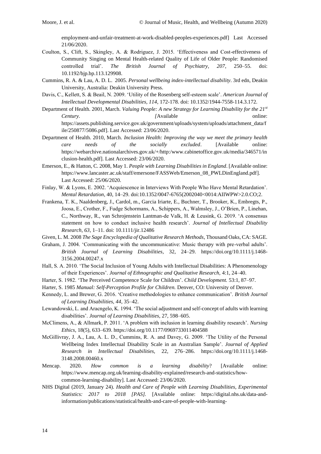[employment-and-unfair-treatment-at-work-disabled-peoples-experiences.pdf\]](https://www.equalityhumanrights.com/sites/default/files/research-report-88-barriers-to-employment-and-unfair-treatment-at-work-disabled-peoples-experiences.pdf) Last Accessed 21/06/2020.

- Coulton, S., Clift, S., Skingley, A. & Rodriguez, J. 2015. 'Effectiveness and Cost-effectiveness of Community Singing on Mental Health-related Quality of Life of Older People: Randomised controlled trial'. *The British Journal of Psychiatry, 207*, 250–55. doi: 10.1192/bjp.bp.113.129908.
- Cummins, R. A. & Lau, A. D. L. 2005. *Personal wellbeing index-intellectual disability*. 3rd edn, Deakin University, Australia: Deakin University Press.
- Davis, C., Kellett, S. & Beail, N. 2009. 'Utility of the Rosenberg self-esteem scale'. *American Journal of Intellectual Developmental Disabilities, 114*, 172-178. doi: 10.1352/1944-7558-114.3.172.
- Department of Health. 2001, March. *Valuing People: A new Strategy for Learning Disability for the 21st Century. [Available online: 1994] [Available online: 1994] [Available online: 1994] Continues online: [Available online: 1995]* [https://assets.publishing.service.gov.uk/government/uploads/system/uploads/attachment\\_data/f](https://assets.publishing.service.gov.uk/government/uploads/system/uploads/attachment_data/file/250877/5086.pdf) [ile/250877/5086.pdf\]](https://assets.publishing.service.gov.uk/government/uploads/system/uploads/attachment_data/file/250877/5086.pdf). Last Accessed: 23/06/2020.
- Department of Health. 2010, March. *Inclusion Health: Improving the way we meet the primary health care needs of the socially excluded*. [Available online: [https://webarchive.nationalarchives.gov.uk/+/http:/www.cabinetoffice.gov.uk/media/346571/in](https://webarchive.nationalarchives.gov.uk/+/http:/www.cabinetoffice.gov.uk/media/346571/inclusion-health.pdf) [clusion-health.pdf\]](https://webarchive.nationalarchives.gov.uk/+/http:/www.cabinetoffice.gov.uk/media/346571/inclusion-health.pdf). Last Accessed: 23/06/2020.
- Emerson, E., & Hatton, C. 2008, May 1. *People with Learning Disabilities in England*. [Available online: [https://www.lancaster.ac.uk/staff/emersone/FASSWeb/Emerson\\_08\\_PWLDinEngland.pdf\]](https://eur01.safelinks.protection.outlook.com/?url=https%3A%2F%2Fwww.lancaster.ac.uk%2Fstaff%2Femersone%2FFASSWeb%2FEmerson_08_PWLDinEngland.pdf&data=02%7C01%7Cjes.phillips%40canterbury.ac.uk%7C0dcabc85d54b4e1b856808d7dae9143f%7C0320b2da22dd4dab8c216e644ba14f13%7C0%7C0%7C637218566905626833&sdata=AOmLJuVevF5c8qrgCx5AmM6kQoSwUOkVhRCI3MW%2BGgw%3D&reserved=0). Last Accessed: 25/06/2020.
- Finlay, W. & Lyons, E. 2002. 'Acquiescence in Interviews With People Who Have Mental Retardation'. *Mental Retardation*, 40, 14–29. doi:10.1352/0047-6765(2002040<0014:AIIWPW>2.0.CO;2.
- Frankena, T. K., Naaldenberg, J., Cardol, m., Garcia Iriarte, E., Buchner, T., Brooker, K., Embregts, P., Joosa, E., Crother, F., Fudge Schormans, A., Schippers, A., Walmsley, J., O'Brien, P., Linehan, C., Northway, R., van Schrojenstein Lantman-de Valk, H. & Leusink, G. 2019. 'A consensus statement on how to conduct inclusive health research'. *Journal of Intellectual Disability Research, 63*, 1–11. doi: 10.1111/jir.12486
- Given, L. M. 2008 *The Sage Encyclopedia of Qualitative Research Methods*, Thousand Oaks, CA: SAGE.
- Graham, J. 2004. 'Communicating with the uncommunicative: Music therapy with pre-verbal adults'. *British Journal of Learning Disabilities*, 32, 24–29. [https://doi.org/10.1111/j.1468-](https://doi.org/10.1111/j.1468-3156.2004.00247.x) [3156.2004.00247.x](https://doi.org/10.1111/j.1468-3156.2004.00247.x)
- Hall, S. A. 2010. 'The Social Inclusion of Young Adults with Intellectual Disabilities: A Phenomenology of their Experiences'. *Journal of Ethnographic and Qualitative Research,* 4:1, 24–40.
- Harter, S. 1982. 'The Perceived Competence Scale for Children'. *Child Development.* 53:1, 87–97.
- Harter, S. 1985 *Manual: Self-Perception Profile for Children.* Denver, CO: University of Denver.
- Kennedy, L. and Brewer, G. 2016. 'Creative methodologies to enhance communication'. *British Journal of Learning Disabilities, 44*, 35–42.
- Lewandowski, L. and Aracngelo, K. 1994. 'The social adjustment and self-concept of adults with learning disabilities'. *Journal of Learning Disabilities*, 27, 598–605.
- McClimens, A., & Allmark, P. 2011. 'A problem with inclusion in learning disability research'. *Nursing Ethics*, 18(5), 633–639[. https://doi.org/10.1177/0969733011404588](https://doi.org/10.1177/0969733011404588)
- McGillivray, J. A., Lau, A. L. D., Cummins, R. A. and Davey, G. 2009. 'The Utility of the Personal Wellbeing Index Intellectual Disability Scale in an Australian Sample'. *Journal of Applied Research in Intellectual Disabilities,* 22, 276–286. [https://doi.org/10.1111/j.1468-](https://doi.org/10.1111/j.1468-3148.2008.00460.x) [3148.2008.00460.x](https://doi.org/10.1111/j.1468-3148.2008.00460.x)
- Mencap. 2020. *How common is a learning disability*? [Available online: [https://www.mencap.org.uk/learning-disability-explained/research-and-statistics/how](https://eur01.safelinks.protection.outlook.com/?url=https%3A%2F%2Fwww.mencap.org.uk%2Flearning-disability-explained%2Fresearch-and-statistics%2Fhow-common-learning-disability&data=02%7C01%7Cjes.phillips%40canterbury.ac.uk%7C0dcabc85d54b4e1b856808d7dae9143f%7C0320b2da22dd4dab8c216e644ba14f13%7C0%7C0%7C637218566905636789&sdata=Ly6Sp0heW9I9znXfV%2B3bcqDSLVTFWyj%2BfhUN3LsGD%2FI%3D&reserved=0)[common-learning-disability\]](https://eur01.safelinks.protection.outlook.com/?url=https%3A%2F%2Fwww.mencap.org.uk%2Flearning-disability-explained%2Fresearch-and-statistics%2Fhow-common-learning-disability&data=02%7C01%7Cjes.phillips%40canterbury.ac.uk%7C0dcabc85d54b4e1b856808d7dae9143f%7C0320b2da22dd4dab8c216e644ba14f13%7C0%7C0%7C637218566905636789&sdata=Ly6Sp0heW9I9znXfV%2B3bcqDSLVTFWyj%2BfhUN3LsGD%2FI%3D&reserved=0). Last Accessed: 23/06/2020.
- NHS Digital (2019, January 24). *Health and Care of People with Learning Disabilities, Experimental Statistics: 2017 to 2018 [PAS].* [Available online: [https://digital.nhs.uk/data-and](https://eur01.safelinks.protection.outlook.com/?url=https%3A%2F%2Fdigital.nhs.uk%2Fdata-and-information%2Fpublications%2Fstatistical%2Fhealth-and-care-of-people-with-learning-disabilities%2Fexperimental-statistics-2017-to-2018&data=02%7C01%7Cjes.phillips%40canterbury.ac.uk%7C0dcabc85d54b4e1b856808d7dae9143f%7C0320b2da22dd4dab8c216e644ba14f13%7C0%7C0%7C637218566905636789&sdata=jTGcEYIVZTSczUQpkdfFgG8ZjLUXz0XeHTZwlzMo6hQ%3D&reserved=0)[information/publications/statistical/health-and-care-of-people-with-learning-](https://eur01.safelinks.protection.outlook.com/?url=https%3A%2F%2Fdigital.nhs.uk%2Fdata-and-information%2Fpublications%2Fstatistical%2Fhealth-and-care-of-people-with-learning-disabilities%2Fexperimental-statistics-2017-to-2018&data=02%7C01%7Cjes.phillips%40canterbury.ac.uk%7C0dcabc85d54b4e1b856808d7dae9143f%7C0320b2da22dd4dab8c216e644ba14f13%7C0%7C0%7C637218566905636789&sdata=jTGcEYIVZTSczUQpkdfFgG8ZjLUXz0XeHTZwlzMo6hQ%3D&reserved=0)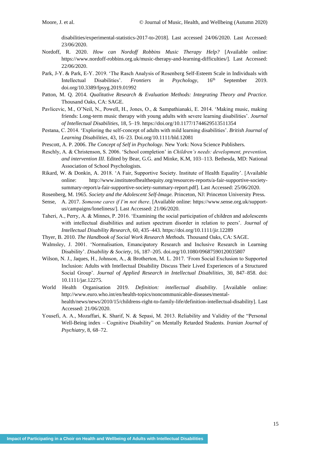[disabilities/experimental-statistics-2017-to-2018\]](https://eur01.safelinks.protection.outlook.com/?url=https%3A%2F%2Fdigital.nhs.uk%2Fdata-and-information%2Fpublications%2Fstatistical%2Fhealth-and-care-of-people-with-learning-disabilities%2Fexperimental-statistics-2017-to-2018&data=02%7C01%7Cjes.phillips%40canterbury.ac.uk%7C0dcabc85d54b4e1b856808d7dae9143f%7C0320b2da22dd4dab8c216e644ba14f13%7C0%7C0%7C637218566905636789&sdata=jTGcEYIVZTSczUQpkdfFgG8ZjLUXz0XeHTZwlzMo6hQ%3D&reserved=0). Last accessed 24/06/2020. Last Accessed: 23/06/2020.

- Nordoff, R. 2020. *How can Nordoff Robbins Music Therapy Help?* [Available online: [https://www.nordoff-robbins.org.uk/music-therapy-and-learning-difficulties/\]](https://www.nordoff-robbins.org.uk/music-therapy-and-learning-difficulties/). Last Accessed: 22/06/2020.
- Park, J-Y. & Park, E-Y. 2019. 'The Rasch Analysis of Rosenberg Self-Esteem Scale in Individuals with Intellectual Disabilities'. *Frontiers in Psychology,* 16th September 2019. [doi.org/10.3389/fpsyg.2019.01992](https://doi.org/10.3389/fpsyg.2019.01992)
- Patton, M. Q. 2014. *Qualitative Research & Evaluation Methods: Integrating Theory and Practice.*  Thousand Oaks, CA: SAGE.
- Pavlicevic, M., O'Neil, N., Powell, H., Jones, O., & Sampathianaki, E. 2014. 'Making music, making friends: Long-term music therapy with young adults with severe learning disabilities'. *Journal of Intellectual Disabilities*, 18, 5–19[. https://doi.org/10.1177/1744629513511354](https://eur01.safelinks.protection.outlook.com/?url=https%3A%2F%2Fdoi.org%2F10.1177%2F1744629513511354&data=02%7C01%7Cjes.phillips%40canterbury.ac.uk%7C0dcabc85d54b4e1b856808d7dae9143f%7C0320b2da22dd4dab8c216e644ba14f13%7C0%7C0%7C637218566905646747&sdata=47aQ%2F1bec0w7FYE7W65E3scOGZCUg6sY9MitIAuzZtI%3D&reserved=0)
- Pestana, C. 2014. 'Exploring the self-concept of adults with mild learning disabilities'. *British Journal of Learning Disabilities,* 43, 16–23. Doi.org/10.1111/bld.12081
- Prescott, A. P. 2006. *The Concept of Self in Psychology.* New York: Nova Science Publishers.
- Reschly, A. & Christenson, S. 2006. 'School completion' in *Children's needs: development, prevention, and intervention III*. Edited by Bear, G.G. and Minke, K.M, 103–113. Bethesda, MD: National Association of School Psychologists.
- Rikard, W. & Donkin, A. 2018. 'A Fair, Supportive Society. Institute of Health Equality'. [Available online: [http://www.instituteofhealthequity.org/resources-reports/a-fair-supportive-society](http://www.instituteofhealthequity.org/resources-reports/a-fair-supportive-society-summary-report/a-fair-supportive-society-summary-report.pdf)[summary-report/a-fair-supportive-society-summary-report.pdf\]](http://www.instituteofhealthequity.org/resources-reports/a-fair-supportive-society-summary-report/a-fair-supportive-society-summary-report.pdf). Last Accessed: 25/06/2020.
- Rosenberg, M. 1965. *Society and the Adolescent Self-Image.* Princeton, NJ: Princeton University Press.
- Sense, A. 2017. *Someone cares if I'm not there*. [Available online: [https://www.sense.org.uk/support](https://eur01.safelinks.protection.outlook.com/?url=https%3A%2F%2Fwww.sense.org.uk%2Fsupport-us%2Fcampaigns%2Floneliness%2F&data=02%7C01%7Cjes.phillips%40canterbury.ac.uk%7C0dcabc85d54b4e1b856808d7dae9143f%7C0320b2da22dd4dab8c216e644ba14f13%7C0%7C0%7C637218566905651721&sdata=qoIisAnOdMI%2B9Wl2yTNmPEH7%2BFTJe7k0p6f9DfZgic8%3D&reserved=0)[us/campaigns/loneliness/\]](https://eur01.safelinks.protection.outlook.com/?url=https%3A%2F%2Fwww.sense.org.uk%2Fsupport-us%2Fcampaigns%2Floneliness%2F&data=02%7C01%7Cjes.phillips%40canterbury.ac.uk%7C0dcabc85d54b4e1b856808d7dae9143f%7C0320b2da22dd4dab8c216e644ba14f13%7C0%7C0%7C637218566905651721&sdata=qoIisAnOdMI%2B9Wl2yTNmPEH7%2BFTJe7k0p6f9DfZgic8%3D&reserved=0). Last Accessed: 21/06/2020.
- Taheri, A., Perry, A. & Minnes, P. 2016. 'Examining the social participation of children and adolescents with intellectual disabilities and autism spectrum disorder in relation to peers'. *Journal of Intellectual Disability Research*, 60, 435–443.<https://doi.org/10.1111/jir.12289>
- Thyer, B. 2010. *The Handbook of Social Work Research Methods.* Thousand Oaks, CA: SAGE.
- Walmsley, J. 2001. 'Normalisation, Emancipatory Research and Inclusive Research in Learning Disability'. *Disability & Society*, 16, 187–205. [doi.org/10.1080/09687590120035807](https://doi.org/10.1080/09687590120035807)
- Wilson, N. J., Jaques, H., Johnson, A., & Brotherton, M. L. 2017. 'From Social Exclusion to Supported Inclusion: Adults with Intellectual Disability Discuss Their Lived Experiences of a Structured Social Group'. *Journal of Applied Research in Intellectual Disabilities*, 30, 847–858. doi: 10.1111/jar.12275.
- World Health Organisation 2019. *Definition: intellectual disability*. [Available online: [http://www.euro.who.int/en/health-topics/noncommunicable-diseases/mental](https://eur01.safelinks.protection.outlook.com/?url=http%3A%2F%2Fwww.euro.who.int%2Fen%2Fhealth-topics%2Fnoncommunicable-diseases%2Fmental-health%2Fnews%2Fnews%2F2010%2F15%2Fchildrens-right-to-family-life%2Fdefinition-intellectual-disability&data=02%7C01%7Cjes.phillips%40canterbury.ac.uk%7C0dcabc85d54b4e1b856808d7dae9143f%7C0320b2da22dd4dab8c216e644ba14f13%7C0%7C0%7C637218566905656700&sdata=Z4sib0k781MXg0BZ6jV1LpLU3hjPHPqlSDfCucj8qqc%3D&reserved=0)[health/news/news/2010/15/childrens-right-to-family-life/definition-intellectual-disability\]](https://eur01.safelinks.protection.outlook.com/?url=http%3A%2F%2Fwww.euro.who.int%2Fen%2Fhealth-topics%2Fnoncommunicable-diseases%2Fmental-health%2Fnews%2Fnews%2F2010%2F15%2Fchildrens-right-to-family-life%2Fdefinition-intellectual-disability&data=02%7C01%7Cjes.phillips%40canterbury.ac.uk%7C0dcabc85d54b4e1b856808d7dae9143f%7C0320b2da22dd4dab8c216e644ba14f13%7C0%7C0%7C637218566905656700&sdata=Z4sib0k781MXg0BZ6jV1LpLU3hjPHPqlSDfCucj8qqc%3D&reserved=0). Last Accessed: 21/06/2020.
- Yousefi, A. A., Mozaffari, K. Sharif, N. & Sepasi, M. 2013. Reliability and Validity of the "Personal Well-Being index – Cognitive Disability" on Mentally Retarded Students. *Iranian Journal of Psychiatry*, 8, 68–72.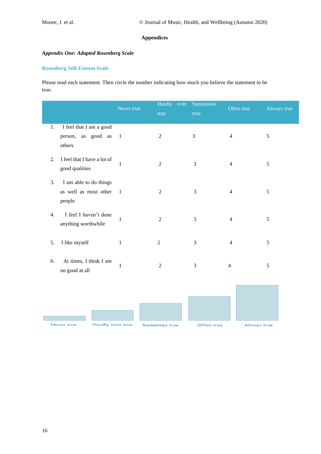## **Appendices**

# *Appendix One: Adapted Rosenberg Scale*

## **Rosenberg Self-Esteem Scale**

Please read each statement. Then circle the number indicating how much you believe the statement to be true.

|                                                                 | Never true   | Hardly ever           | Sometimes      | Often true         | Always true |
|-----------------------------------------------------------------|--------------|-----------------------|----------------|--------------------|-------------|
|                                                                 |              | true                  | true           |                    |             |
| I feel that I am a good<br>1.<br>person, as good as<br>others   | $\mathbf{1}$ | $\overline{2}$        | $\mathfrak{Z}$ | $\overline{4}$     | 5           |
| I feel that I have a lot of<br>2.<br>good qualities             | $\mathbf{1}$ | $\overline{2}$        | 3              | $\overline{4}$     | 5           |
| I am able to do things<br>3.<br>as well as most other<br>people | $\mathbf{1}$ | $\boldsymbol{2}$      | 3              | $\overline{4}$     | 5           |
| I feel I haven't done<br>4.<br>anything worthwhile              | $\mathbf{1}$ | $\overline{2}$        | 3              | $\overline{4}$     | 5           |
| I like myself<br>5.                                             | $\,1$        | $\boldsymbol{2}$      | $\mathfrak 3$  | $\overline{4}$     | $\sqrt{5}$  |
| At times, I think I am<br>6.<br>no good at all                  | $\mathbf{1}$ | $\overline{2}$        | 3              | $\overline{4}$     | 5           |
|                                                                 |              |                       |                |                    |             |
| Hardly ever true<br>Never true                                  |              | <b>Sometimes true</b> | Often true     | <b>Always true</b> |             |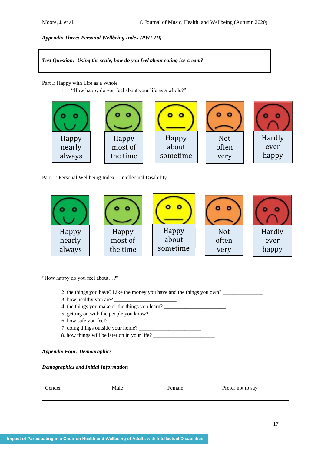*Appendix Three: Personal Wellbeing Index (PWI-ID)*

*Test Question: Using the scale, how do you feel about eating ice cream?*

Part I: Happy with Life as a Whole

1. "How happy do you feel about your life as a whole?"

| Happy  | Happy    | Happy    | <b>Not</b> | Hardly |
|--------|----------|----------|------------|--------|
| nearly | most of  | about    | often      | ever   |
| always | the time | sometime | very       | happy  |
|        |          |          |            |        |

Part II: Personal Wellbeing Index – Intellectual Disability



"How happy do you feel about…?"

- 2. the things you have? Like the money you have and the things you own?
- 3. how healthy you are?
- 4. the things you make or the things you learn? \_\_\_\_\_\_\_\_\_\_\_\_\_\_\_\_\_\_\_\_\_\_\_\_\_\_\_\_\_\_\_\_\_
- 5. getting on with the people you know? \_\_\_\_\_\_\_\_\_\_\_\_\_\_\_\_\_\_\_\_\_\_\_
- 6. how safe you feel?
- 7. doing things outside your home?
- 8. how things will be later on in your life?

# *Appendix Four: Demographics*

## *Demographics and Initial Information*

| Gender | Male | Female | Prefer not to say |
|--------|------|--------|-------------------|
|        |      |        |                   |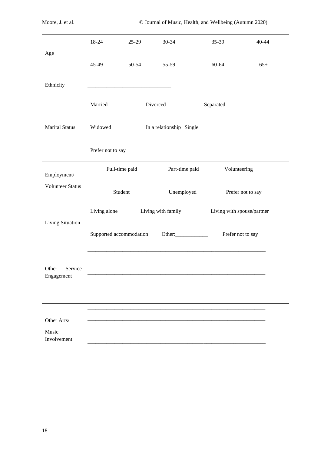|                                     | 18-24             | $25-29$                 | $30 - 34$                | 35-39        | $40 - 44$                  |
|-------------------------------------|-------------------|-------------------------|--------------------------|--------------|----------------------------|
| Age                                 | 45-49             | 50-54                   | 55-59                    | 60-64        | $65+$                      |
| Ethnicity                           |                   |                         |                          |              |                            |
|                                     | Married           |                         | Divorced                 | Separated    |                            |
| <b>Marital Status</b>               | Widowed           |                         | In a relationship Single |              |                            |
|                                     | Prefer not to say |                         |                          |              |                            |
| Employment/                         |                   | Full-time paid          | Part-time paid           | Volunteering |                            |
| <b>Volunteer Status</b>             |                   | Student                 | Unemployed               |              | Prefer not to say          |
|                                     | Living alone      |                         | Living with family       |              | Living with spouse/partner |
| Living Situation                    |                   | Supported accommodation | Other:                   |              | Prefer not to say          |
| Other<br>Service<br>Engagement      |                   |                         |                          |              |                            |
| Other Arts/<br>Music<br>Involvement |                   |                         |                          |              |                            |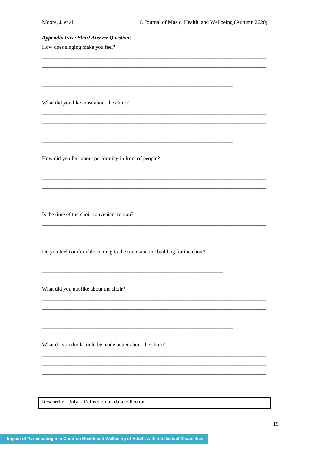## **Appendix Five: Short Answer Questions**

How does singing make you feel?

What did you like most about the choir?

How did you feel about performing in front of people?

Is the time of the choir convenient to you?

Do you feel comfortable coming to the room and the building for the choir?

What did you not like about the choir?

What do you think could be made better about the choir?

Researcher Only - Reflection on data collection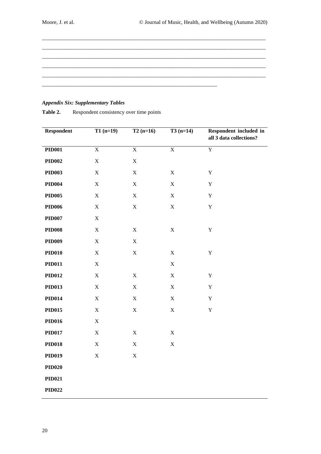| _____ |  |  |
|-------|--|--|
|       |  |  |
|       |  |  |
|       |  |  |
|       |  |  |
|       |  |  |
|       |  |  |
|       |  |  |
|       |  |  |
|       |  |  |

# *Appendix Six: Supplementary Tables*

| Respondent    | $T1(n=19)$     | $T2(n=16)$     | $T3(n=14)$     | Respondent included in<br>all 3 data collections? |
|---------------|----------------|----------------|----------------|---------------------------------------------------|
| <b>PID001</b> | $\overline{X}$ | $\overline{X}$ | $\overline{X}$ | $\overline{Y}$                                    |
| <b>PID002</b> | $\mathbf X$    | $\mathbf X$    |                |                                                   |
| <b>PID003</b> | $\mathbf X$    | $\mathbf X$    | $\mathbf X$    | $\mathbf Y$                                       |
| <b>PID004</b> | $\mathbf X$    | $\mathbf X$    | $\mathbf X$    | $\mathbf Y$                                       |
| <b>PID005</b> | $\mathbf X$    | $\mathbf X$    | $\mathbf X$    | $\mathbf Y$                                       |
| <b>PID006</b> | $\mathbf X$    | $\mathbf X$    | $\mathbf X$    | $\mathbf Y$                                       |
| <b>PID007</b> | $\mathbf X$    |                |                |                                                   |
| <b>PID008</b> | $\mathbf X$    | $\mathbf X$    | $\mathbf X$    | $\mathbf Y$                                       |
| <b>PID009</b> | $\mathbf X$    | $\mathbf X$    |                |                                                   |
| <b>PID010</b> | $\mathbf X$    | $\mathbf X$    | $\mathbf X$    | $\mathbf Y$                                       |
| <b>PID011</b> | $\mathbf X$    |                | $\mathbf X$    |                                                   |
| <b>PID012</b> | $\mathbf X$    | $\mathbf X$    | $\mathbf X$    | $\mathbf Y$                                       |
| <b>PID013</b> | $\mathbf X$    | $\mathbf X$    | $\mathbf X$    | $\mathbf Y$                                       |
| <b>PID014</b> | $\mathbf X$    | $\mathbf X$    | $\mathbf X$    | $\mathbf Y$                                       |
| <b>PID015</b> | $\mathbf X$    | $\mathbf X$    | $\mathbf X$    | $\mathbf Y$                                       |
| <b>PID016</b> | $\mathbf X$    |                |                |                                                   |
| <b>PID017</b> | $\mathbf X$    | $\mathbf X$    | $\mathbf X$    |                                                   |
| <b>PID018</b> | $\mathbf X$    | $\mathbf X$    | $\mathbf X$    |                                                   |
| <b>PID019</b> | $\mathbf X$    | $\mathbf X$    |                |                                                   |
| <b>PID020</b> |                |                |                |                                                   |
| <b>PID021</b> |                |                |                |                                                   |
| <b>PID022</b> |                |                |                |                                                   |

Table 2. Respondent consistency over time points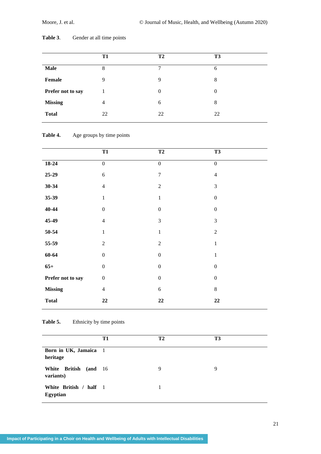|                   | T1 | T <sub>2</sub> | T <sub>3</sub> |
|-------------------|----|----------------|----------------|
| <b>Male</b>       | 8  | 7              | 6              |
| Female            | 9  | 9              | 8              |
| Prefer not to say |    | $\Omega$       | $\Omega$       |
| <b>Missing</b>    | 4  | 6              | 8              |
| <b>Total</b>      | 22 | 22             | 22             |

# **Table 3**. Gender at all time points

# Table 4. Age groups by time points

|                   |                  | <b>T2</b>        |                  |  |
|-------------------|------------------|------------------|------------------|--|
|                   | <b>T1</b>        |                  | <b>T3</b>        |  |
| 18-24             | $\boldsymbol{0}$ | $\boldsymbol{0}$ | $\boldsymbol{0}$ |  |
| $25-29$           | $\sqrt{6}$       | $\boldsymbol{7}$ | $\overline{4}$   |  |
| $30 - 34$         | $\overline{4}$   | $\overline{2}$   | 3                |  |
| $35 - 39$         | $\mathbf{1}$     | $\,1\,$          | $\boldsymbol{0}$ |  |
| $40 - 44$         | $\boldsymbol{0}$ | $\boldsymbol{0}$ | $\boldsymbol{0}$ |  |
| 45-49             | $\overline{4}$   | $\mathfrak{Z}$   | 3                |  |
| 50-54             | $\mathbf{1}$     | $\mathbf{1}$     | $\overline{2}$   |  |
| 55-59             | $\sqrt{2}$       | $\overline{2}$   | $\mathbf{1}$     |  |
| $60 - 64$         | $\boldsymbol{0}$ | $\boldsymbol{0}$ | $\mathbf 1$      |  |
| $65+$             | $\boldsymbol{0}$ | $\boldsymbol{0}$ | $\boldsymbol{0}$ |  |
| Prefer not to say | $\boldsymbol{0}$ | $\boldsymbol{0}$ | $\boldsymbol{0}$ |  |
| <b>Missing</b>    | $\overline{4}$   | 6                | $8\,$            |  |
| <b>Total</b>      | 22               | 22               | $22\,$           |  |
|                   |                  |                  |                  |  |

# Table 5. Ethnicity by time points

|                                           | T1 | <b>T2</b> | T3 |
|-------------------------------------------|----|-----------|----|
| Born in UK, Jamaica 1<br>heritage         |    |           |    |
| White British (and 16<br>variants)        |    | 9         | 9  |
| White British / half 1<br><b>Egyptian</b> |    |           |    |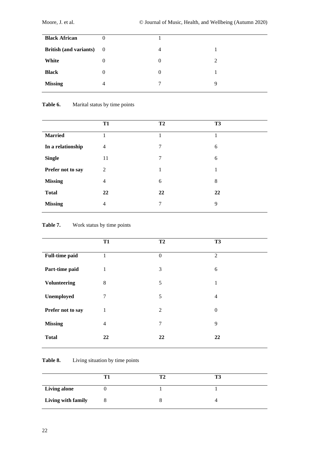| <b>Black African</b>            | 0              |          |   |
|---------------------------------|----------------|----------|---|
| <b>British (and variants)</b> 0 |                | 4        |   |
| White                           | 0              | $\Omega$ |   |
| <b>Black</b>                    | $\overline{0}$ | $\Omega$ |   |
| <b>Missing</b>                  | 4              | ┑        | q |
|                                 |                |          |   |

# Table 6. Marital status by time points

|                   | <b>T1</b>      | T <sub>2</sub> | <b>T3</b> |
|-------------------|----------------|----------------|-----------|
| <b>Married</b>    | 1              | 1.             |           |
| In a relationship | $\overline{4}$ | 7              | 6         |
| <b>Single</b>     | 11             | $\tau$         | 6         |
| Prefer not to say | 2              | 1              | 1         |
| <b>Missing</b>    | $\overline{4}$ | 6              | 8         |
| <b>Total</b>      | 22             | 22             | 22        |
| <b>Missing</b>    | $\overline{4}$ | 7              | 9         |

# Table 7. Work status by time points

|                       | <b>T1</b>      | <b>T2</b>        | T <sub>3</sub> |
|-----------------------|----------------|------------------|----------------|
| <b>Full-time paid</b> | $\mathbf{1}$   | $\boldsymbol{0}$ | $\overline{2}$ |
| Part-time paid        | $\mathbf{1}$   | 3                | 6              |
| <b>Volunteering</b>   | 8              | 5                | 1              |
| Unemployed            | 7              | 5                | $\overline{4}$ |
| Prefer not to say     | $\mathbf{1}$   | 2                | $\mathbf{0}$   |
| <b>Missing</b>        | $\overline{4}$ | 7                | 9              |
| <b>Total</b>          | 22             | 22               | 22             |
|                       |                |                  |                |

# Table 8. Living situation by time points

| <b>Living alone</b> |  |  |
|---------------------|--|--|
| Living with family  |  |  |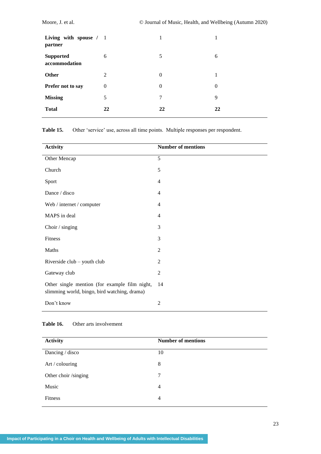| Living with spouse / 1<br>partner |              | 1        |                |
|-----------------------------------|--------------|----------|----------------|
| <b>Supported</b><br>accommodation | 6            | 5        | 6              |
| Other                             | 2            | $\theta$ | 1              |
| Prefer not to say                 | $\mathbf{0}$ | $\theta$ | $\overline{0}$ |
| <b>Missing</b>                    | 5            | 7        | 9              |
| <b>Total</b>                      | 22           | 22       | 22             |

**Table 15.** Other 'service' use, across all time points. Multiple responses per respondent.

| <b>Activity</b>                                                                               | <b>Number of mentions</b> |
|-----------------------------------------------------------------------------------------------|---------------------------|
| Other Mencap                                                                                  | 5                         |
| Church                                                                                        | 5                         |
| Sport                                                                                         | $\overline{4}$            |
| Dance / disco                                                                                 | $\overline{4}$            |
| Web / internet / computer                                                                     | $\overline{4}$            |
| MAPS in deal                                                                                  | $\overline{4}$            |
| Choir / singing                                                                               | 3                         |
| Fitness                                                                                       | 3                         |
| Maths                                                                                         | $\overline{2}$            |
| Riverside club – youth club                                                                   | $\overline{2}$            |
| Gateway club                                                                                  | $\mathfrak{2}$            |
| Other single mention (for example film night,<br>slimming world, bingo, bird watching, drama) | 14                        |
| Don't know                                                                                    | $\overline{2}$            |

# **Table 16.** Other arts involvement

| <b>Activity</b>      | <b>Number of mentions</b> |
|----------------------|---------------------------|
| Dancing / disco      | 10                        |
| Art / colouring      | 8                         |
| Other choir /singing | 7                         |
| Music                | 4                         |
| <b>Fitness</b>       | 4                         |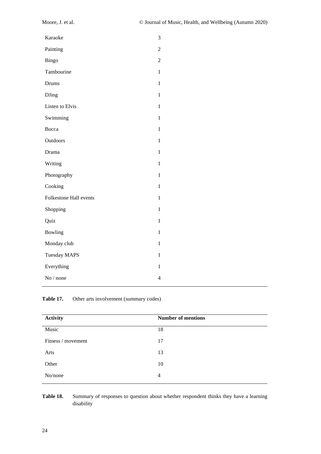| Karaoke                       | 3              |
|-------------------------------|----------------|
| Painting                      | $\overline{2}$ |
| Bingo                         | $\overline{2}$ |
| Tambourine                    | $\mathbf{1}$   |
| Drums                         | $\mathbf{1}$   |
| <b>DJing</b>                  | $\mathbf{1}$   |
| Listen to Elvis               | $\mathbf{1}$   |
| Swimming                      | $\mathbf{1}$   |
| Bocca                         | $\mathbf{1}$   |
| Outdoors                      | 1              |
| Drama                         | $\mathbf{1}$   |
| Writing                       | 1              |
| Photography                   | $\mathbf{1}$   |
| Cooking                       | 1              |
| <b>Folkestone Hall events</b> | $\mathbf{1}$   |
| Shopping                      | $\mathbf{1}$   |
| Quiz                          | $\mathbf{1}$   |
| Bowling                       | $\mathbf{1}$   |
| Monday club                   | $\mathbf{1}$   |
| <b>Tuesday MAPS</b>           | 1              |
| Everything                    | $\mathbf{1}$   |
| No / none                     | $\overline{4}$ |
|                               |                |

Table 17. Other arts involvement (summary codes)

| <b>Activity</b>    | <b>Number of mentions</b> |
|--------------------|---------------------------|
| Music              | 18                        |
| Fitness / movement | 17                        |
| Arts               | 13                        |
| Other              | 10                        |
| No/none            | 4                         |

Table 18. Summary of responses to question about whether respondent thinks they have a learning disability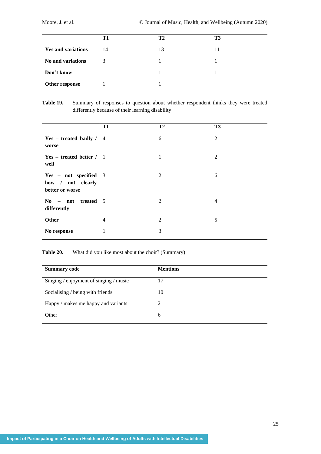|                           | Т1 | Т2 | T3 |
|---------------------------|----|----|----|
| <b>Yes and variations</b> | 14 | 13 |    |
| No and variations         | 3  |    |    |
| Don't know                |    |    |    |
| Other response            |    |    |    |

# **Table 19.** Summary of responses to question about whether respondent thinks they were treated differently because of their learning disability

|                                                               | <b>T1</b>      | T <sub>2</sub> | T <sub>3</sub> |
|---------------------------------------------------------------|----------------|----------------|----------------|
| Yes – treated badly $/$ 4<br>worse                            |                | 6              | 2              |
| $Yes - treated better / 1$<br>well                            |                | 1              | 2              |
| Yes - not specified 3<br>how / not clearly<br>better or worse |                | 2              | 6              |
| $\boldsymbol{\mathrm{No}}$ – not treated 5<br>differently     |                | 2              | $\overline{4}$ |
| <b>Other</b>                                                  | $\overline{4}$ | $\overline{2}$ | 5              |
| No response                                                   | 1              | 3              |                |

**Table 20.** What did you like most about the choir? (Summary)

| <b>Summary code</b>                        | <b>Mentions</b> |
|--------------------------------------------|-----------------|
| Singing $/$ enjoyment of singing $/$ music | 17              |
| Socialising / being with friends           | 10              |
| Happy / makes me happy and variants        | $\mathfrak{D}$  |
| Other                                      | 6               |